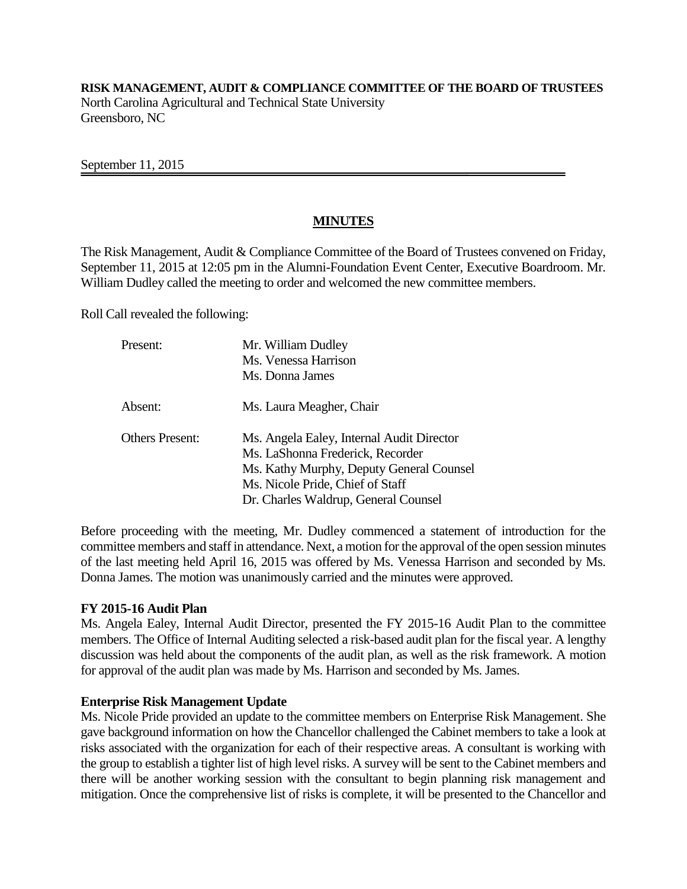**RISK MANAGEMENT, AUDIT & COMPLIANCE COMMITTEE OF THE BOARD OF TRUSTEES** North Carolina Agricultural and Technical State University Greensboro, NC

September 11, 2015

# **MINUTES**

The Risk Management, Audit & Compliance Committee of the Board of Trustees convened on Friday, September 11, 2015 at 12:05 pm in the Alumni-Foundation Event Center, Executive Boardroom. Mr. William Dudley called the meeting to order and welcomed the new committee members.

Roll Call revealed the following:

| Present:               | Mr. William Dudley                                                            |
|------------------------|-------------------------------------------------------------------------------|
|                        | Ms. Venessa Harrison                                                          |
|                        | Ms. Donna James                                                               |
| Absent:                | Ms. Laura Meagher, Chair                                                      |
| <b>Others Present:</b> | Ms. Angela Ealey, Internal Audit Director<br>Ms. LaShonna Frederick, Recorder |
|                        | Ms. Kathy Murphy, Deputy General Counsel                                      |
|                        | Ms. Nicole Pride, Chief of Staff                                              |
|                        | Dr. Charles Waldrup, General Counsel                                          |

Before proceeding with the meeting, Mr. Dudley commenced a statement of introduction for the committee members and staff in attendance. Next, a motion for the approval of the open session minutes of the last meeting held April 16, 2015 was offered by Ms. Venessa Harrison and seconded by Ms. Donna James. The motion was unanimously carried and the minutes were approved.

### **FY 2015-16 Audit Plan**

Ms. Angela Ealey, Internal Audit Director, presented the FY 2015-16 Audit Plan to the committee members. The Office of Internal Auditing selected a risk-based audit plan for the fiscal year. A lengthy discussion was held about the components of the audit plan, as well as the risk framework. A motion for approval of the audit plan was made by Ms. Harrison and seconded by Ms. James.

### **Enterprise Risk Management Update**

Ms. Nicole Pride provided an update to the committee members on Enterprise Risk Management. She gave background information on how the Chancellor challenged the Cabinet members to take a look at risks associated with the organization for each of their respective areas. A consultant is working with the group to establish a tighter list of high level risks. A survey will be sent to the Cabinet members and there will be another working session with the consultant to begin planning risk management and mitigation. Once the comprehensive list of risks is complete, it will be presented to the Chancellor and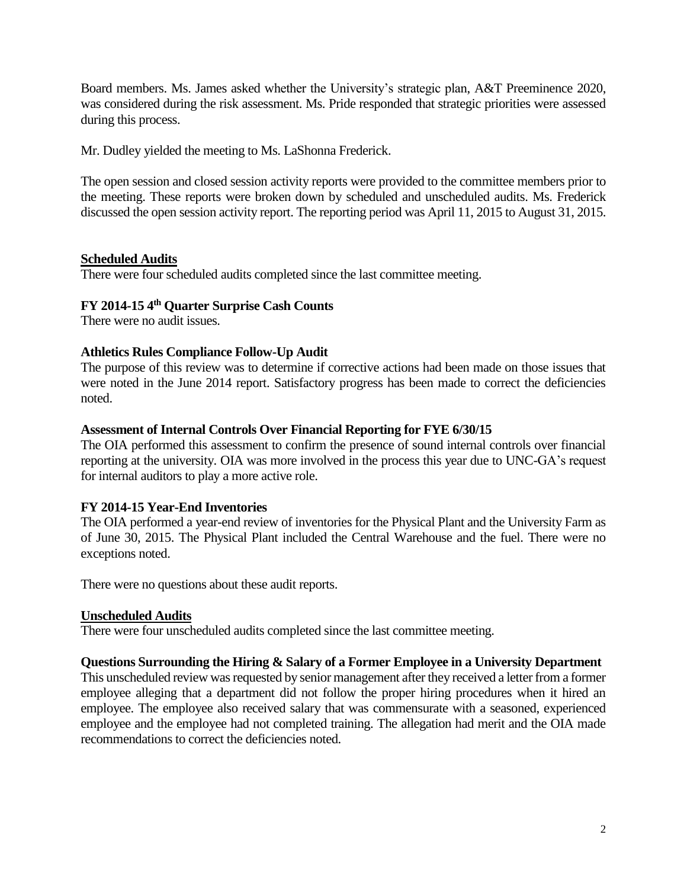Board members. Ms. James asked whether the University's strategic plan, A&T Preeminence 2020, was considered during the risk assessment. Ms. Pride responded that strategic priorities were assessed during this process.

Mr. Dudley yielded the meeting to Ms. LaShonna Frederick.

The open session and closed session activity reports were provided to the committee members prior to the meeting. These reports were broken down by scheduled and unscheduled audits. Ms. Frederick discussed the open session activity report. The reporting period was April 11, 2015 to August 31, 2015.

# **Scheduled Audits**

There were four scheduled audits completed since the last committee meeting.

# **FY 2014-15 4 th Quarter Surprise Cash Counts**

There were no audit issues.

# **Athletics Rules Compliance Follow-Up Audit**

The purpose of this review was to determine if corrective actions had been made on those issues that were noted in the June 2014 report. Satisfactory progress has been made to correct the deficiencies noted.

# **Assessment of Internal Controls Over Financial Reporting for FYE 6/30/15**

The OIA performed this assessment to confirm the presence of sound internal controls over financial reporting at the university. OIA was more involved in the process this year due to UNC-GA's request for internal auditors to play a more active role.

# **FY 2014-15 Year-End Inventories**

The OIA performed a year-end review of inventories for the Physical Plant and the University Farm as of June 30, 2015. The Physical Plant included the Central Warehouse and the fuel. There were no exceptions noted.

There were no questions about these audit reports.

## **Unscheduled Audits**

There were four unscheduled audits completed since the last committee meeting.

## **Questions Surrounding the Hiring & Salary of a Former Employee in a University Department**

This unscheduled review was requested by senior management after they received a letter from a former employee alleging that a department did not follow the proper hiring procedures when it hired an employee. The employee also received salary that was commensurate with a seasoned, experienced employee and the employee had not completed training. The allegation had merit and the OIA made recommendations to correct the deficiencies noted.